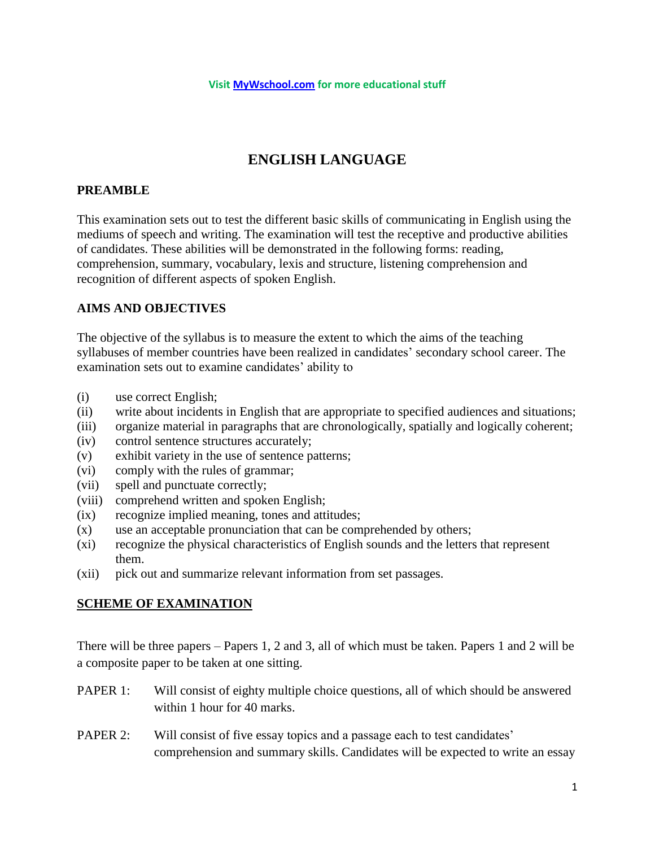# **ENGLISH LANGUAGE**

# **PREAMBLE**

This examination sets out to test the different basic skills of communicating in English using the mediums of speech and writing. The examination will test the receptive and productive abilities of candidates. These abilities will be demonstrated in the following forms: reading, comprehension, summary, vocabulary, lexis and structure, listening comprehension and recognition of different aspects of spoken English.

# **AIMS AND OBJECTIVES**

The objective of the syllabus is to measure the extent to which the aims of the teaching syllabuses of member countries have been realized in candidates' secondary school career. The examination sets out to examine candidates' ability to

- (i) use correct English;
- (ii) write about incidents in English that are appropriate to specified audiences and situations;
- (iii) organize material in paragraphs that are chronologically, spatially and logically coherent;
- (iv) control sentence structures accurately;
- (v) exhibit variety in the use of sentence patterns;
- (vi) comply with the rules of grammar;
- (vii) spell and punctuate correctly;
- (viii) comprehend written and spoken English;
- (ix) recognize implied meaning, tones and attitudes;
- (x) use an acceptable pronunciation that can be comprehended by others;
- (xi) recognize the physical characteristics of English sounds and the letters that represent them.
- (xii) pick out and summarize relevant information from set passages.

# **SCHEME OF EXAMINATION**

There will be three papers – Papers 1, 2 and 3, all of which must be taken. Papers 1 and 2 will be a composite paper to be taken at one sitting.

- PAPER 1: Will consist of eighty multiple choice questions, all of which should be answered within 1 hour for 40 marks.
- PAPER 2: Will consist of five essay topics and a passage each to test candidates' comprehension and summary skills. Candidates will be expected to write an essay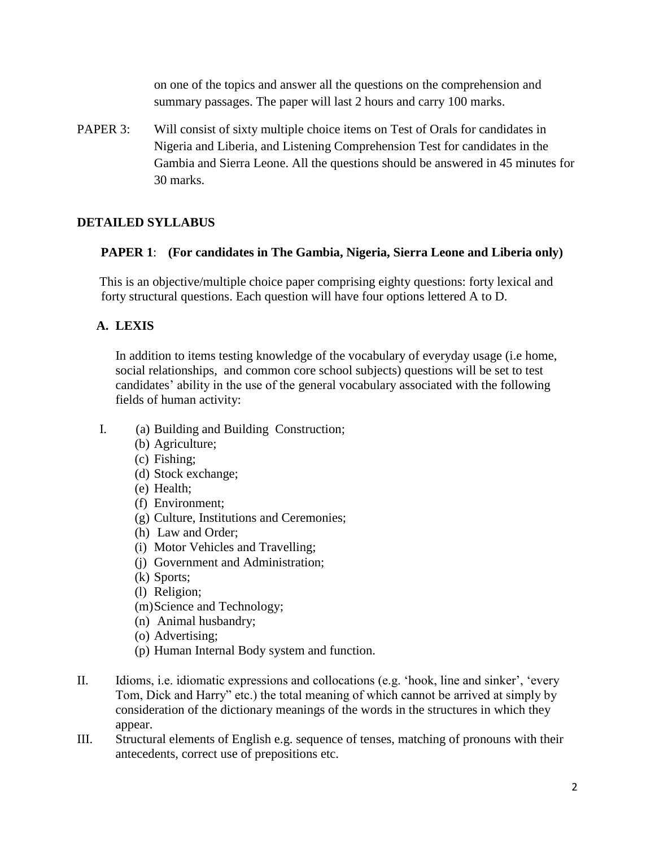on one of the topics and answer all the questions on the comprehension and summary passages. The paper will last 2 hours and carry 100 marks.

PAPER 3: Will consist of sixty multiple choice items on Test of Orals for candidates in Nigeria and Liberia, and Listening Comprehension Test for candidates in the Gambia and Sierra Leone. All the questions should be answered in 45 minutes for 30 marks.

# **DETAILED SYLLABUS**

### **PAPER 1**: **(For candidates in The Gambia, Nigeria, Sierra Leone and Liberia only)**

This is an objective/multiple choice paper comprising eighty questions: forty lexical and forty structural questions. Each question will have four options lettered A to D.

# **A. LEXIS**

In addition to items testing knowledge of the vocabulary of everyday usage (i.e home, social relationships, and common core school subjects) questions will be set to test candidates' ability in the use of the general vocabulary associated with the following fields of human activity:

- I. (a) Building and Building Construction;
	- (b) Agriculture;
	- (c) Fishing;
	- (d) Stock exchange;
	- (e) Health;
	- (f) Environment;
	- (g) Culture, Institutions and Ceremonies;
	- (h) Law and Order;
	- (i) Motor Vehicles and Travelling;
	- (j) Government and Administration;
	- (k) Sports;
	- (l) Religion;
	- (m)Science and Technology;
	- (n) Animal husbandry;
	- (o) Advertising;
	- (p) Human Internal Body system and function.
- II. Idioms, i.e. idiomatic expressions and collocations (e.g. 'hook, line and sinker', 'every Tom, Dick and Harry" etc.) the total meaning of which cannot be arrived at simply by consideration of the dictionary meanings of the words in the structures in which they appear.
- III. Structural elements of English e.g. sequence of tenses, matching of pronouns with their antecedents, correct use of prepositions etc.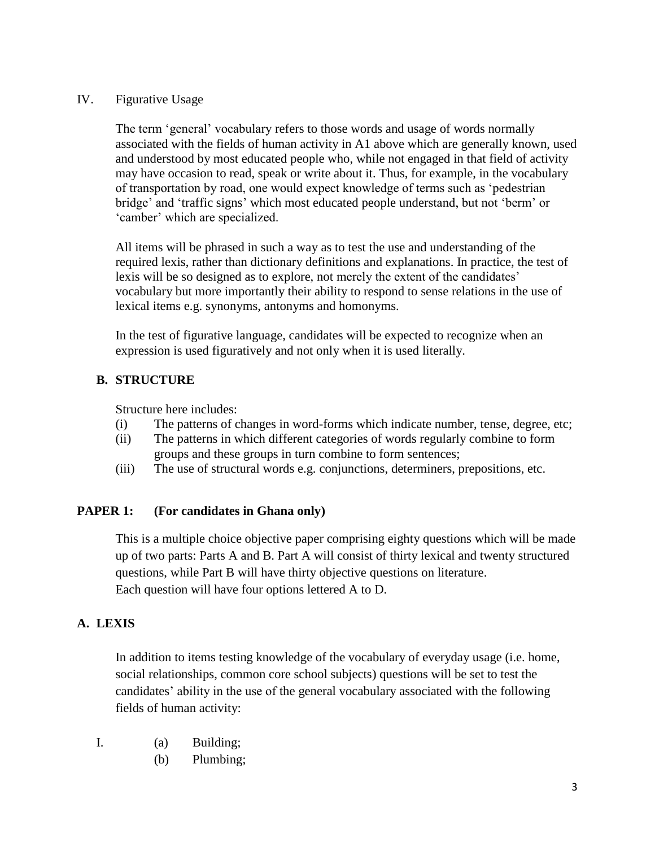## IV. Figurative Usage

The term 'general' vocabulary refers to those words and usage of words normally associated with the fields of human activity in A1 above which are generally known, used and understood by most educated people who, while not engaged in that field of activity may have occasion to read, speak or write about it. Thus, for example, in the vocabulary of transportation by road, one would expect knowledge of terms such as 'pedestrian bridge' and 'traffic signs' which most educated people understand, but not 'berm' or 'camber' which are specialized.

All items will be phrased in such a way as to test the use and understanding of the required lexis, rather than dictionary definitions and explanations. In practice, the test of lexis will be so designed as to explore, not merely the extent of the candidates' vocabulary but more importantly their ability to respond to sense relations in the use of lexical items e.g. synonyms, antonyms and homonyms.

In the test of figurative language, candidates will be expected to recognize when an expression is used figuratively and not only when it is used literally.

# **B. STRUCTURE**

Structure here includes:

- (i) The patterns of changes in word-forms which indicate number, tense, degree, etc;
- (ii) The patterns in which different categories of words regularly combine to form groups and these groups in turn combine to form sentences;
- (iii) The use of structural words e.g. conjunctions, determiners, prepositions, etc.

# **PAPER 1: (For candidates in Ghana only)**

This is a multiple choice objective paper comprising eighty questions which will be made up of two parts: Parts A and B. Part A will consist of thirty lexical and twenty structured questions, while Part B will have thirty objective questions on literature. Each question will have four options lettered A to D.

# **A. LEXIS**

In addition to items testing knowledge of the vocabulary of everyday usage (i.e. home, social relationships, common core school subjects) questions will be set to test the candidates' ability in the use of the general vocabulary associated with the following fields of human activity:

- I. (a) Building;
	- (b) Plumbing;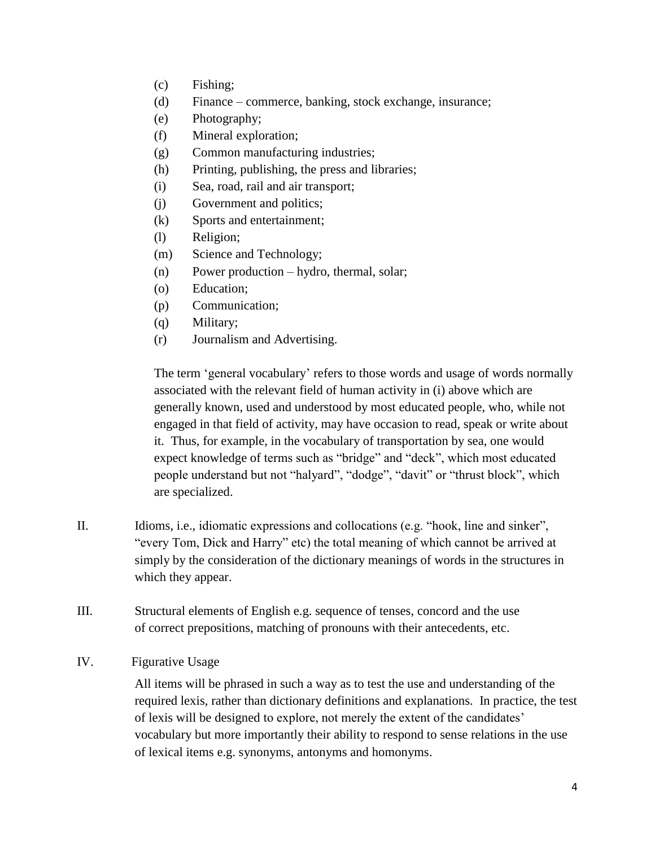- (c) Fishing;
- (d) Finance commerce, banking, stock exchange, insurance;
- (e) Photography;
- (f) Mineral exploration;
- (g) Common manufacturing industries;
- (h) Printing, publishing, the press and libraries;
- (i) Sea, road, rail and air transport;
- (j) Government and politics;
- (k) Sports and entertainment;
- (l) Religion;
- (m) Science and Technology;
- (n) Power production hydro, thermal, solar;
- (o) Education;
- (p) Communication;
- (q) Military;
- (r) Journalism and Advertising.

The term 'general vocabulary' refers to those words and usage of words normally associated with the relevant field of human activity in (i) above which are generally known, used and understood by most educated people, who, while not engaged in that field of activity, may have occasion to read, speak or write about it. Thus, for example, in the vocabulary of transportation by sea, one would expect knowledge of terms such as "bridge" and "deck", which most educated people understand but not "halyard", "dodge", "davit" or "thrust block", which are specialized.

- II. Idioms, i.e., idiomatic expressions and collocations (e.g. "hook, line and sinker", "every Tom, Dick and Harry" etc) the total meaning of which cannot be arrived at simply by the consideration of the dictionary meanings of words in the structures in which they appear.
- III. Structural elements of English e.g. sequence of tenses, concord and the use of correct prepositions, matching of pronouns with their antecedents, etc.
- IV. Figurative Usage

All items will be phrased in such a way as to test the use and understanding of the required lexis, rather than dictionary definitions and explanations. In practice, the test of lexis will be designed to explore, not merely the extent of the candidates' vocabulary but more importantly their ability to respond to sense relations in the use of lexical items e.g. synonyms, antonyms and homonyms.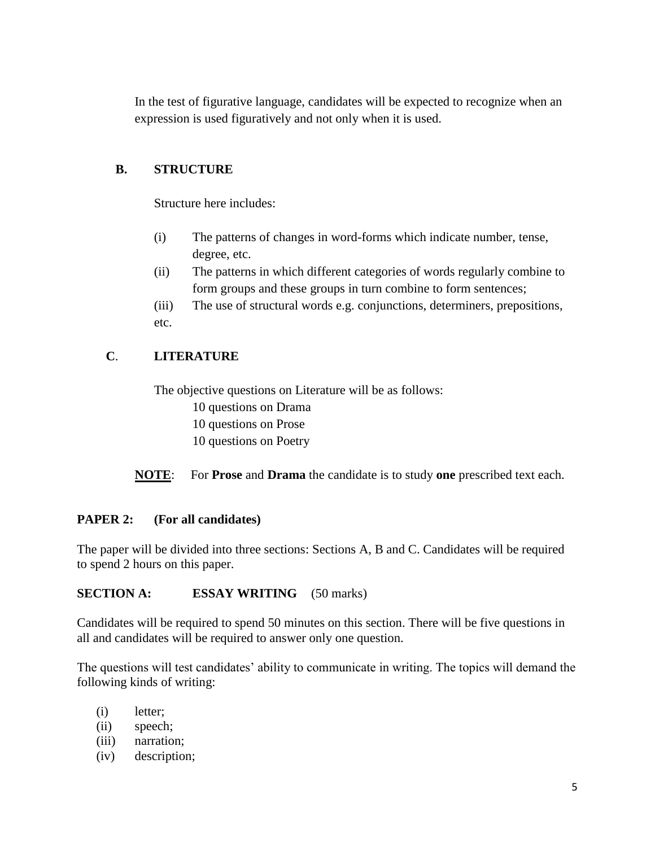In the test of figurative language, candidates will be expected to recognize when an expression is used figuratively and not only when it is used.

## **B. STRUCTURE**

Structure here includes:

- (i) The patterns of changes in word-forms which indicate number, tense, degree, etc.
- (ii) The patterns in which different categories of words regularly combine to form groups and these groups in turn combine to form sentences;
- (iii) The use of structural words e.g. conjunctions, determiners, prepositions, etc.

# **C**. **LITERATURE**

The objective questions on Literature will be as follows: 10 questions on Drama 10 questions on Prose

10 questions on Poetry

**NOTE**: For **Prose** and **Drama** the candidate is to study **one** prescribed text each.

# **PAPER 2: (For all candidates)**

The paper will be divided into three sections: Sections A, B and C. Candidates will be required to spend 2 hours on this paper.

#### **SECTION A: ESSAY WRITING** (50 marks)

Candidates will be required to spend 50 minutes on this section. There will be five questions in all and candidates will be required to answer only one question.

The questions will test candidates' ability to communicate in writing. The topics will demand the following kinds of writing:

- (i) letter;
- (ii) speech;
- (iii) narration;
- (iv) description;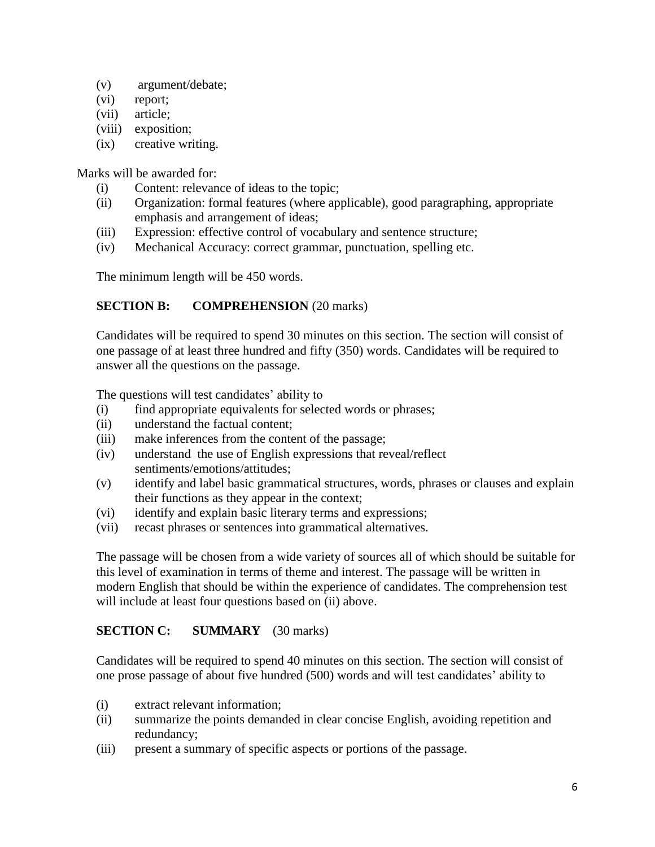- (v) argument/debate;
- (vi) report;
- (vii) article;
- (viii) exposition;
- (ix) creative writing.

Marks will be awarded for:

- (i) Content: relevance of ideas to the topic;
- (ii) Organization: formal features (where applicable), good paragraphing, appropriate emphasis and arrangement of ideas;
- (iii) Expression: effective control of vocabulary and sentence structure;
- (iv) Mechanical Accuracy: correct grammar, punctuation, spelling etc.

The minimum length will be 450 words.

# **SECTION B: COMPREHENSION** (20 marks)

Candidates will be required to spend 30 minutes on this section. The section will consist of one passage of at least three hundred and fifty (350) words. Candidates will be required to answer all the questions on the passage.

The questions will test candidates' ability to

- (i) find appropriate equivalents for selected words or phrases;
- (ii) understand the factual content;
- (iii) make inferences from the content of the passage;
- (iv) understand the use of English expressions that reveal/reflect sentiments/emotions/attitudes;
- (v) identify and label basic grammatical structures, words, phrases or clauses and explain their functions as they appear in the context;
- (vi) identify and explain basic literary terms and expressions;
- (vii) recast phrases or sentences into grammatical alternatives.

The passage will be chosen from a wide variety of sources all of which should be suitable for this level of examination in terms of theme and interest. The passage will be written in modern English that should be within the experience of candidates. The comprehension test will include at least four questions based on (ii) above.

# **SECTION C: SUMMARY** (30 marks)

Candidates will be required to spend 40 minutes on this section. The section will consist of one prose passage of about five hundred (500) words and will test candidates' ability to

- (i) extract relevant information;
- (ii) summarize the points demanded in clear concise English, avoiding repetition and redundancy;
- (iii) present a summary of specific aspects or portions of the passage.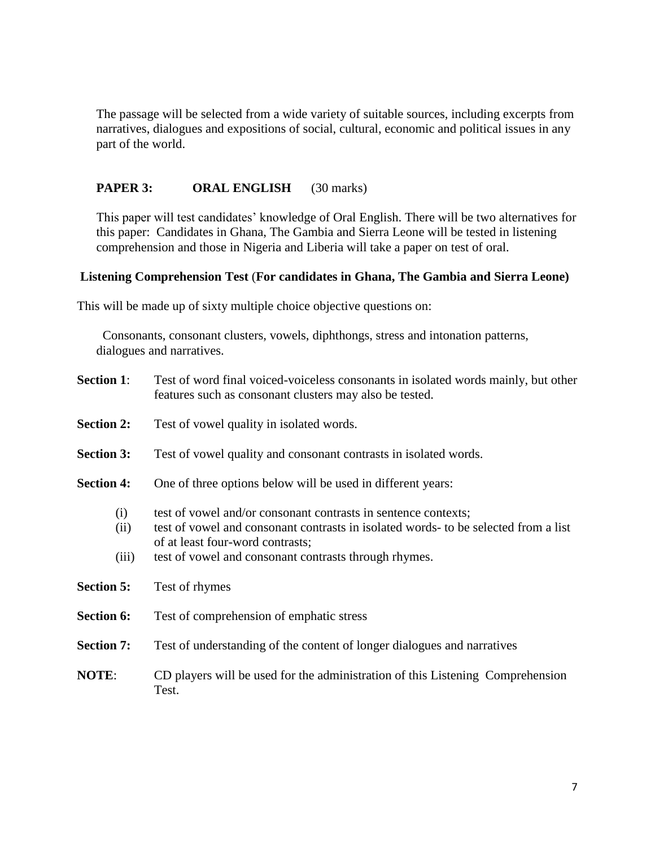The passage will be selected from a wide variety of suitable sources, including excerpts from narratives, dialogues and expositions of social, cultural, economic and political issues in any part of the world.

### **PAPER 3: ORAL ENGLISH** (30 marks)

This paper will test candidates' knowledge of Oral English. There will be two alternatives for this paper: Candidates in Ghana, The Gambia and Sierra Leone will be tested in listening comprehension and those in Nigeria and Liberia will take a paper on test of oral.

#### **Listening Comprehension Test** (**For candidates in Ghana, The Gambia and Sierra Leone)**

This will be made up of sixty multiple choice objective questions on:

Consonants, consonant clusters, vowels, diphthongs, stress and intonation patterns, dialogues and narratives.

| <b>Section 1:</b>    | Test of word final voiced-voiceless consonants in isolated words mainly, but other<br>features such as consonant clusters may also be tested.                                                                                                      |  |  |
|----------------------|----------------------------------------------------------------------------------------------------------------------------------------------------------------------------------------------------------------------------------------------------|--|--|
| <b>Section 2:</b>    | Test of vowel quality in isolated words.                                                                                                                                                                                                           |  |  |
| <b>Section 3:</b>    | Test of vowel quality and consonant contrasts in isolated words.                                                                                                                                                                                   |  |  |
| <b>Section 4:</b>    | One of three options below will be used in different years:                                                                                                                                                                                        |  |  |
| (i)<br>(ii)<br>(iii) | test of vowel and/or consonant contrasts in sentence contexts;<br>test of vowel and consonant contrasts in isolated words- to be selected from a list<br>of at least four-word contrasts;<br>test of vowel and consonant contrasts through rhymes. |  |  |
| <b>Section 5:</b>    | Test of rhymes                                                                                                                                                                                                                                     |  |  |
| <b>Section 6:</b>    | Test of comprehension of emphatic stress                                                                                                                                                                                                           |  |  |
| <b>Section 7:</b>    | Test of understanding of the content of longer dialogues and narratives                                                                                                                                                                            |  |  |
| NOTE:                | CD players will be used for the administration of this Listening Comprehension<br>Test.                                                                                                                                                            |  |  |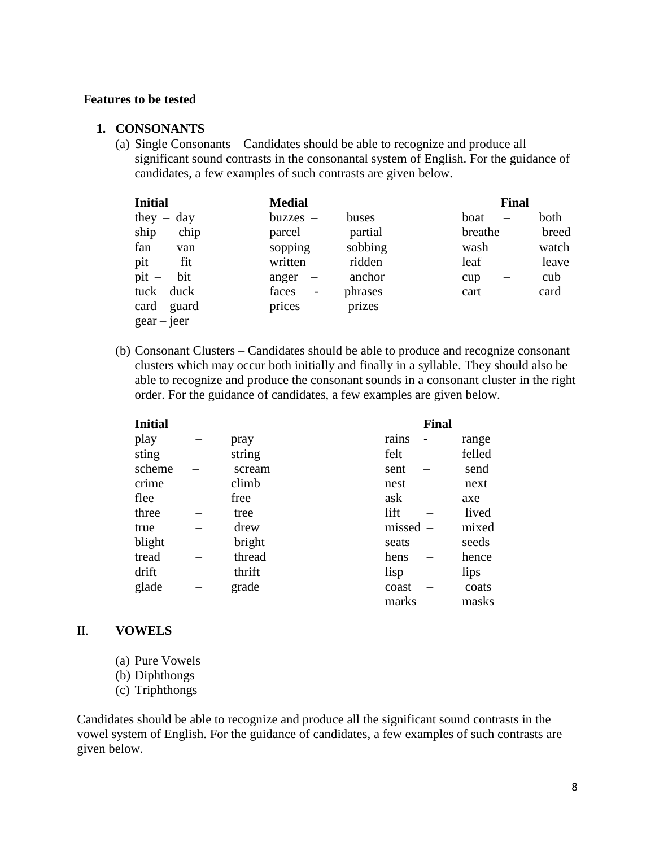#### **Features to be tested**

#### **1. CONSONANTS**

(a) Single Consonants – Candidates should be able to recognize and produce all significant sound contrasts in the consonantal system of English. For the guidance of candidates, a few examples of such contrasts are given below.

| <b>Initial</b>            | <b>Medial</b>                      |         | <b>Final</b>                    |       |
|---------------------------|------------------------------------|---------|---------------------------------|-------|
| they $-$ day              | $buzzes$ –                         | buses   | boat                            | both  |
| $ship - chip$             | parcel –                           | partial | $breather -$                    | breed |
| $fan - van$               | sopping $-$                        | sobbing | wash                            | watch |
| $pit - fit$               | written $-$                        | ridden  | leaf                            | leave |
| $pit - bit$               | anger                              | anchor  | cup<br>$\overline{\phantom{0}}$ | cub   |
| $tuck - duck$             | faces<br>$\frac{1}{2}$             | phrases | cart                            | card  |
| $card - guard$            | prices<br>$\overline{\phantom{0}}$ | prizes  |                                 |       |
| $\text{gear}-\text{jeer}$ |                                    |         |                                 |       |

(b) Consonant Clusters – Candidates should be able to produce and recognize consonant clusters which may occur both initially and finally in a syllable. They should also be able to recognize and produce the consonant sounds in a consonant cluster in the right order. For the guidance of candidates, a few examples are given below.

| <b>Initial</b> |        |        | <b>Final</b> |        |
|----------------|--------|--------|--------------|--------|
| play           | pray   | rains  |              | range  |
| sting          | string | felt   |              | felled |
| scheme         | scream | sent   |              | send   |
| crime          | climb  | nest   |              | next   |
| flee           | free   | ask    |              | axe    |
| three          | tree   | lift   |              | lived  |
| true           | drew   | missed |              | mixed  |
| blight         | bright | seats  |              | seeds  |
| tread          | thread | hens   |              | hence  |
| drift          | thrift | lisp   |              | lips   |
| glade          | grade  | coast  |              | coats  |
|                |        | marks  |              | masks  |

#### II. **VOWELS**

- (a) Pure Vowels
- (b) Diphthongs
- (c) Triphthongs

Candidates should be able to recognize and produce all the significant sound contrasts in the vowel system of English. For the guidance of candidates, a few examples of such contrasts are given below.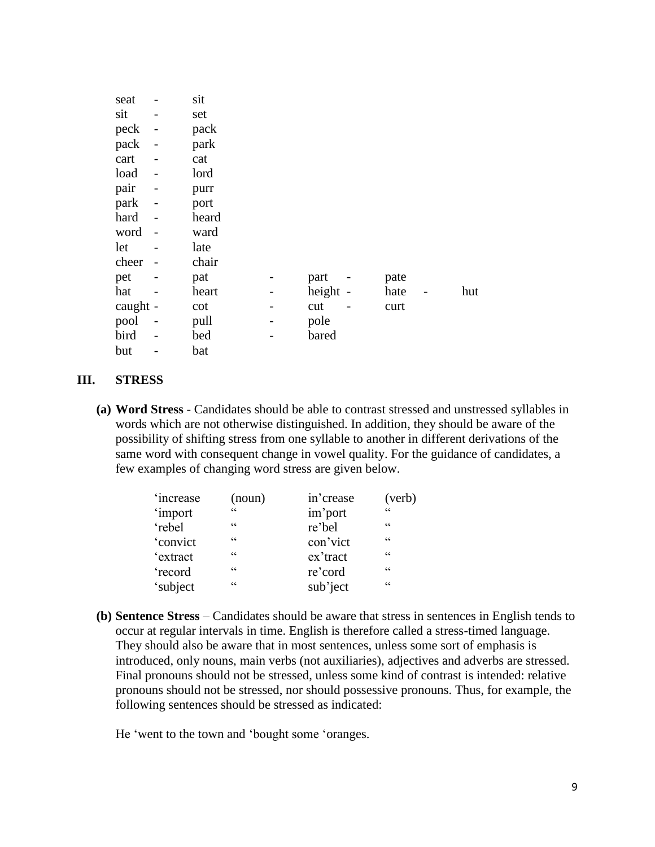| seat     |                          | sit   |          |      |     |
|----------|--------------------------|-------|----------|------|-----|
| sit      |                          | set   |          |      |     |
| peck     | $\overline{\phantom{a}}$ | pack  |          |      |     |
| pack     | $\overline{a}$           | park  |          |      |     |
| cart     | $\overline{a}$           | cat   |          |      |     |
| load     | $\overline{\phantom{0}}$ | lord  |          |      |     |
| pair     | $\overline{\phantom{0}}$ | purr  |          |      |     |
| park     |                          | port  |          |      |     |
| hard     |                          | heard |          |      |     |
| word     |                          | ward  |          |      |     |
| let      |                          | late  |          |      |     |
| cheer    |                          | chair |          |      |     |
| pet      |                          | pat   | part     | pate |     |
| hat      |                          | heart | height - | hate | hut |
| caught - |                          | cot   | cut      | curt |     |
| pool     |                          | pull  | pole     |      |     |
| bird     |                          | bed   | bared    |      |     |
| but      |                          | bat   |          |      |     |

#### **III. STRESS**

**(a) Word Stress** - Candidates should be able to contrast stressed and unstressed syllables in words which are not otherwise distinguished. In addition, they should be aware of the possibility of shifting stress from one syllable to another in different derivations of the same word with consequent change in vowel quality. For the guidance of candidates, a few examples of changing word stress are given below.

| 'increase | (noun)          | in'crease | (verb)                                            |
|-----------|-----------------|-----------|---------------------------------------------------|
| 'import   | C               | im'port   | $\epsilon$                                        |
| 'rebel    | C C             | re'bel    | cc                                                |
| 'convict  | C C             | con'vict  | C                                                 |
| 'extract  | C C             | ex'tract  | C                                                 |
| 'record   | C C             | re'cord   | $\boldsymbol{\varsigma}$ $\boldsymbol{\varsigma}$ |
| 'subject  | $\zeta$ $\zeta$ | sub'ject  | C                                                 |

**(b) Sentence Stress** – Candidates should be aware that stress in sentences in English tends to occur at regular intervals in time. English is therefore called a stress-timed language. They should also be aware that in most sentences, unless some sort of emphasis is introduced, only nouns, main verbs (not auxiliaries), adjectives and adverbs are stressed. Final pronouns should not be stressed, unless some kind of contrast is intended: relative pronouns should not be stressed, nor should possessive pronouns. Thus, for example, the following sentences should be stressed as indicated:

He 'went to the town and 'bought some 'oranges.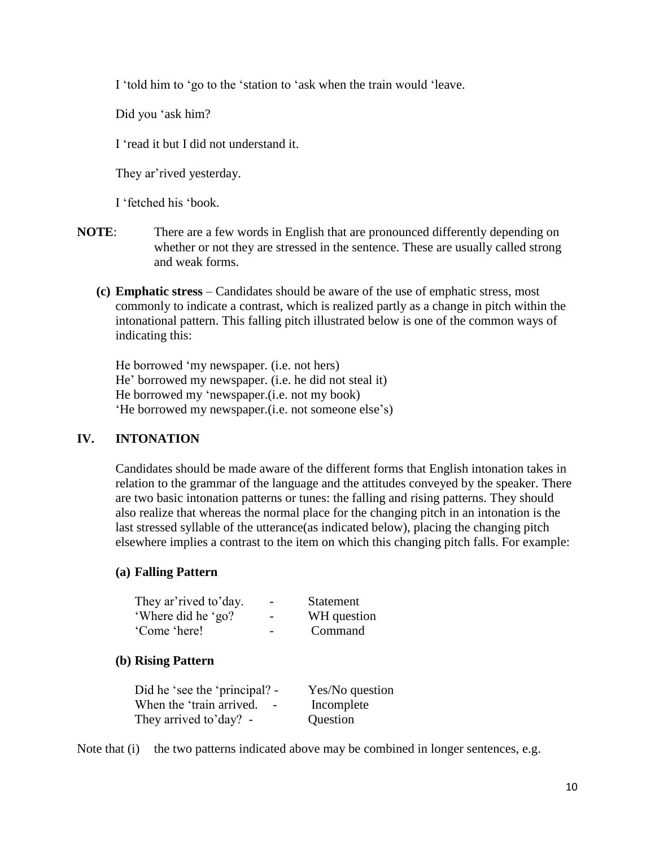I 'told him to 'go to the 'station to 'ask when the train would 'leave.

Did you 'ask him?

I 'read it but I did not understand it.

They ar'rived yesterday.

I 'fetched his 'book.

- **NOTE**: There are a few words in English that are pronounced differently depending on whether or not they are stressed in the sentence. These are usually called strong and weak forms.
	- **(c) Emphatic stress** Candidates should be aware of the use of emphatic stress, most commonly to indicate a contrast, which is realized partly as a change in pitch within the intonational pattern. This falling pitch illustrated below is one of the common ways of indicating this:

He borrowed 'my newspaper. (i.e. not hers) He' borrowed my newspaper. (i.e. he did not steal it) He borrowed my 'newspaper.(i.e. not my book) 'He borrowed my newspaper.(i.e. not someone else's)

# **IV. INTONATION**

Candidates should be made aware of the different forms that English intonation takes in relation to the grammar of the language and the attitudes conveyed by the speaker. There are two basic intonation patterns or tunes: the falling and rising patterns. They should also realize that whereas the normal place for the changing pitch in an intonation is the last stressed syllable of the utterance(as indicated below), placing the changing pitch elsewhere implies a contrast to the item on which this changing pitch falls. For example:

#### **(a) Falling Pattern**

| They ar' rived to' day. | $\overline{\phantom{a}}$ | <b>Statement</b> |
|-------------------------|--------------------------|------------------|
| 'Where did he 'go?      | $\overline{\phantom{a}}$ | WH question      |
| 'Come 'here!            | $\overline{\phantom{0}}$ | Command          |

#### **(b) Rising Pattern**

| Did he 'see the 'principal? -                        | Yes/No question |
|------------------------------------------------------|-----------------|
| When the 'train arrived.<br>$\overline{\phantom{a}}$ | Incomplete      |
| They arrived to'day? -                               | Question        |

Note that (i) the two patterns indicated above may be combined in longer sentences, e.g.